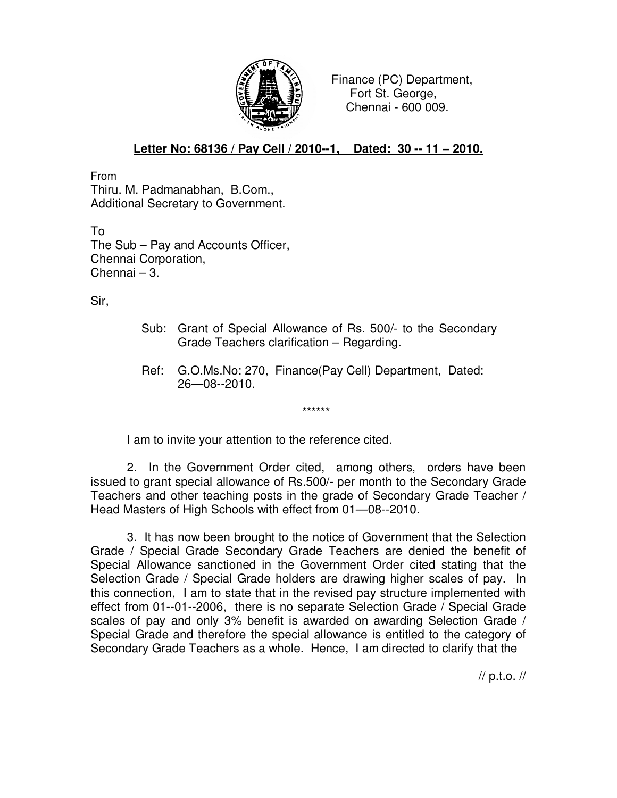

 Finance (PC) Department, Fort St. George, Chennai - 600 009.

## **Letter No: 68136 / Pay Cell / 2010--1, Dated: 30 -- 11 – 2010.**

From Thiru. M. Padmanabhan, B.Com., Additional Secretary to Government.

To The Sub – Pay and Accounts Officer, Chennai Corporation, Chennai – 3.

Sir,

- Sub: Grant of Special Allowance of Rs. 500/- to the Secondary Grade Teachers clarification – Regarding.
- Ref: G.O.Ms.No: 270, Finance(Pay Cell) Department, Dated: 26—08--2010.

I am to invite your attention to the reference cited.

\*\*\*\*\*\*

2. In the Government Order cited, among others, orders have been issued to grant special allowance of Rs.500/- per month to the Secondary Grade Teachers and other teaching posts in the grade of Secondary Grade Teacher / Head Masters of High Schools with effect from 01—08--2010.

3. It has now been brought to the notice of Government that the Selection Grade / Special Grade Secondary Grade Teachers are denied the benefit of Special Allowance sanctioned in the Government Order cited stating that the Selection Grade / Special Grade holders are drawing higher scales of pay. In this connection, I am to state that in the revised pay structure implemented with effect from 01--01--2006, there is no separate Selection Grade / Special Grade scales of pay and only 3% benefit is awarded on awarding Selection Grade / Special Grade and therefore the special allowance is entitled to the category of Secondary Grade Teachers as a whole. Hence, I am directed to clarify that the

// p.t.o. //